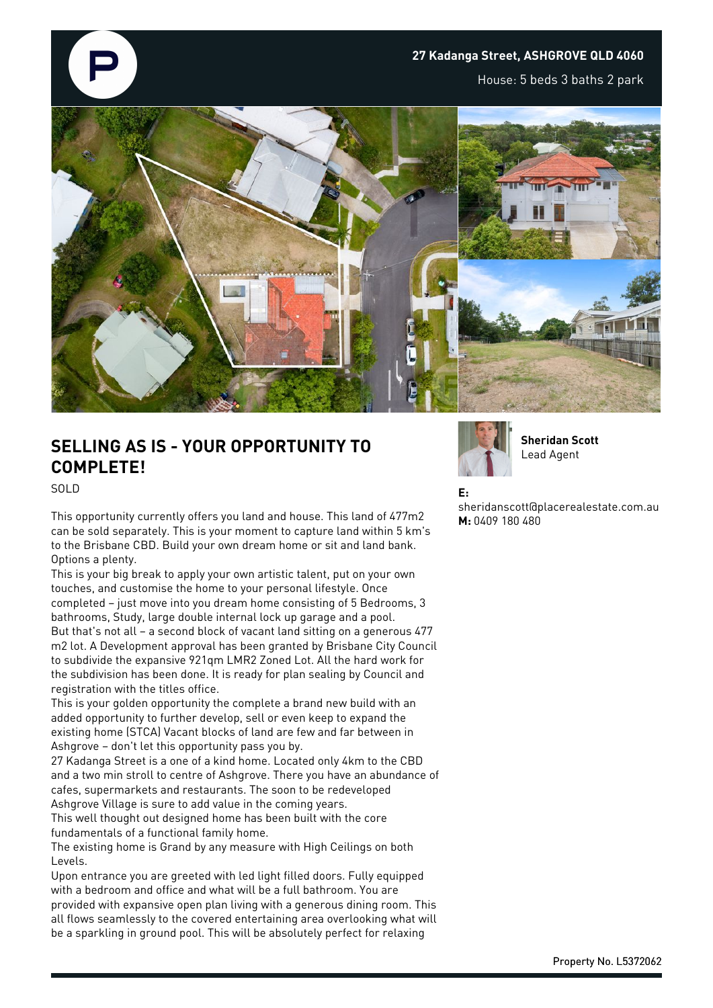

## **SELLING AS IS - YOUR OPPORTUNITY TO COMPLETE!**

SOLD

This opportunity currently offers you land and house. This land of 477m2 can be sold separately. This is your moment to capture land within 5 km's to the Brisbane CBD. Build your own dream home or sit and land bank. Options a plenty.

This is your big break to apply your own artistic talent, put on your own touches, and customise the home to your personal lifestyle. Once completed – just move into you dream home consisting of 5 Bedrooms, 3 bathrooms, Study, large double internal lock up garage and a pool. But that's not all – a second block of vacant land sitting on a generous 477 m2 lot. A Development approval has been granted by Brisbane City Council to subdivide the expansive 921qm LMR2 Zoned Lot. All the hard work for the subdivision has been done. It is ready for plan sealing by Council and registration with the titles office.

This is your golden opportunity the complete a brand new build with an added opportunity to further develop, sell or even keep to expand the existing home (STCA) Vacant blocks of land are few and far between in Ashgrove – don't let this opportunity pass you by.

27 Kadanga Street is a one of a kind home. Located only 4km to the CBD and a two min stroll to centre of Ashgrove. There you have an abundance of cafes, supermarkets and restaurants. The soon to be redeveloped Ashgrove Village is sure to add value in the coming years.

This well thought out designed home has been built with the core fundamentals of a functional family home.

The existing home is Grand by any measure with High Ceilings on both Levels.

Upon entrance you are greeted with led light filled doors. Fully equipped with a bedroom and office and what will be a full bathroom. You are provided with expansive open plan living with a generous dining room. This all flows seamlessly to the covered entertaining area overlooking what will be a sparkling in ground pool. This will be absolutely perfect for relaxing



**Sheridan Scott** Lead Agent

**E:**

sheridanscott@placerealestate.com.au **M:** 0409 180 480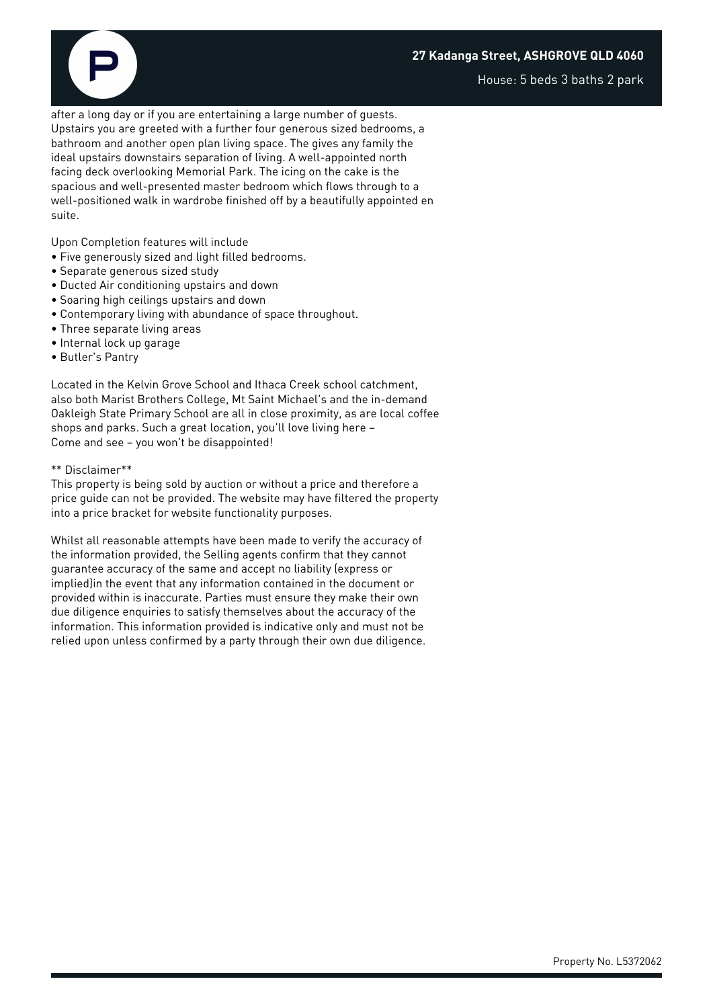## **27 Kadanga Street, ASHGROVE QLD 4060**

House: 5 beds 3 baths 2 park

after a long day or if you are entertaining a large number of guests. Upstairs you are greeted with a further four generous sized bedrooms, a bathroom and another open plan living space. The gives any family the ideal upstairs downstairs separation of living. A well-appointed north facing deck overlooking Memorial Park. The icing on the cake is the spacious and well-presented master bedroom which flows through to a well-positioned walk in wardrobe finished off by a beautifully appointed en suite.

Upon Completion features will include

- Five generously sized and light filled bedrooms.
- Separate generous sized study
- Ducted Air conditioning upstairs and down
- Soaring high ceilings upstairs and down
- Contemporary living with abundance of space throughout.
- Three separate living areas
- Internal lock up garage
- Butler's Pantry

Located in the Kelvin Grove School and Ithaca Creek school catchment, also both Marist Brothers College, Mt Saint Michael's and the in-demand Oakleigh State Primary School are all in close proximity, as are local coffee shops and parks. Such a great location, you'll love living here – Come and see – you won't be disappointed!

## \*\* Disclaimer\*\*

This property is being sold by auction or without a price and therefore a price guide can not be provided. The website may have filtered the property into a price bracket for website functionality purposes.

Whilst all reasonable attempts have been made to verify the accuracy of the information provided, the Selling agents confirm that they cannot guarantee accuracy of the same and accept no liability (express or implied)in the event that any information contained in the document or provided within is inaccurate. Parties must ensure they make their own due diligence enquiries to satisfy themselves about the accuracy of the information. This information provided is indicative only and must not be relied upon unless confirmed by a party through their own due diligence.